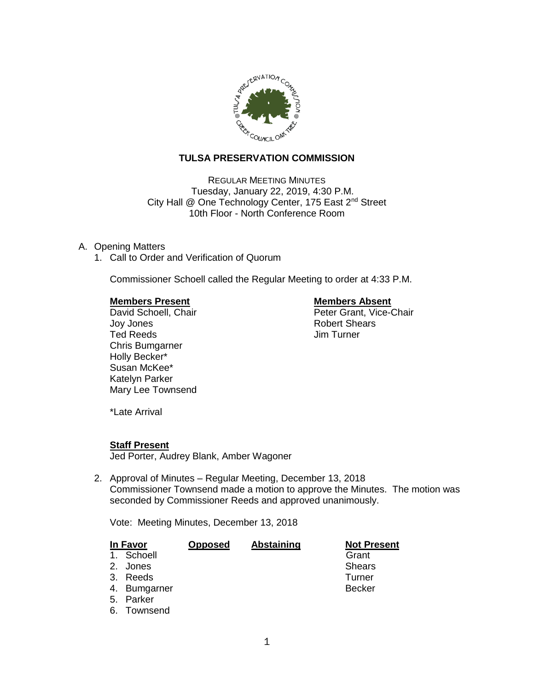

# **TULSA PRESERVATION COMMISSION**

REGULAR MEETING MINUTES Tuesday, January 22, 2019, 4:30 P.M. City Hall @ One Technology Center, 175 East 2<sup>nd</sup> Street 10th Floor - North Conference Room

#### A. Opening Matters

1. Call to Order and Verification of Quorum

Commissioner Schoell called the Regular Meeting to order at 4:33 P.M.

#### **Members Present Constraining Members Absent**

Joy Jones Robert Shears Ted Reeds Jim Turner Chris Bumgarner Holly Becker\* Susan McKee\* Katelyn Parker Mary Lee Townsend

David Schoell, Chair **Peter Grant, Vice-Chair** 

\*Late Arrival

#### **Staff Present**

Jed Porter, Audrey Blank, Amber Wagoner

2. Approval of Minutes – Regular Meeting, December 13, 2018 Commissioner Townsend made a motion to approve the Minutes. The motion was seconded by Commissioner Reeds and approved unanimously.

Vote: Meeting Minutes, December 13, 2018

| In Favor |              | <b>Opposed</b> | Abstaining | <b>Not Present</b> |
|----------|--------------|----------------|------------|--------------------|
|          | 1. Schoell   |                |            | Grant              |
|          | 2. Jones     |                |            | <b>Shears</b>      |
|          | 3. Reeds     |                |            | Turner             |
|          | 4. Bumgarner |                |            | <b>Becker</b>      |
|          | 5. Parker    |                |            |                    |
|          | 6. Townsend  |                |            |                    |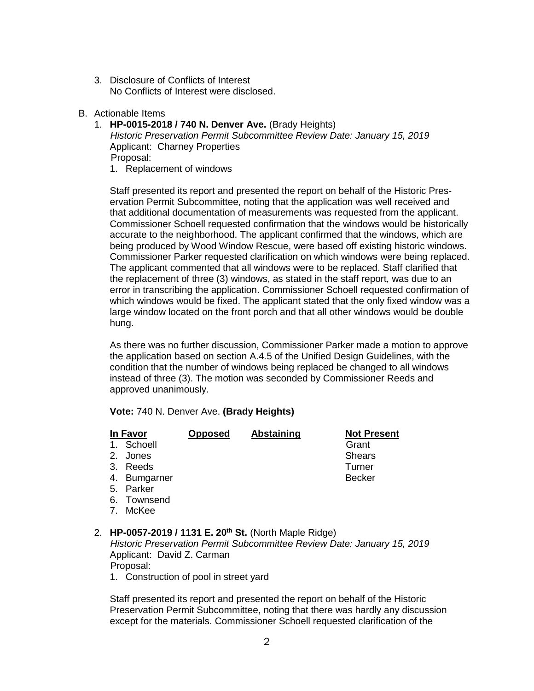- 3. Disclosure of Conflicts of Interest No Conflicts of Interest were disclosed.
- B. Actionable Items
	- 1. **HP-0015-2018 / 740 N. Denver Ave.** (Brady Heights) *Historic Preservation Permit Subcommittee Review Date: January 15, 2019* Applicant: Charney Properties Proposal: 1. Replacement of windows

Staff presented its report and presented the report on behalf of the Historic Preservation Permit Subcommittee, noting that the application was well received and that additional documentation of measurements was requested from the applicant. Commissioner Schoell requested confirmation that the windows would be historically accurate to the neighborhood. The applicant confirmed that the windows, which are being produced by Wood Window Rescue, were based off existing historic windows. Commissioner Parker requested clarification on which windows were being replaced. The applicant commented that all windows were to be replaced. Staff clarified that the replacement of three (3) windows, as stated in the staff report, was due to an error in transcribing the application. Commissioner Schoell requested confirmation of which windows would be fixed. The applicant stated that the only fixed window was a large window located on the front porch and that all other windows would be double hung.

As there was no further discussion, Commissioner Parker made a motion to approve the application based on section A.4.5 of the Unified Design Guidelines, with the condition that the number of windows being replaced be changed to all windows instead of three (3). The motion was seconded by Commissioner Reeds and approved unanimously.

**Vote:** 740 N. Denver Ave. **(Brady Heights)**

|                                                                                                       | In Favor<br>1. Schoell                                             | <b>Opposed</b> | Abstaining | <b>Not Present</b><br>Grant |  |
|-------------------------------------------------------------------------------------------------------|--------------------------------------------------------------------|----------------|------------|-----------------------------|--|
|                                                                                                       | 2. Jones                                                           |                |            | <b>Shears</b>               |  |
|                                                                                                       | 3. Reeds                                                           |                |            | Turner                      |  |
|                                                                                                       | 4. Bumgarner                                                       |                |            | <b>Becker</b>               |  |
|                                                                                                       | 5. Parker                                                          |                |            |                             |  |
|                                                                                                       | 6. Townsend                                                        |                |            |                             |  |
|                                                                                                       | 7. McKee                                                           |                |            |                             |  |
|                                                                                                       | 2. HP-0057-2019 / 1131 E. 20 <sup>th</sup> St. (North Maple Ridge) |                |            |                             |  |
| Historic Preservation Permit Subcommittee Review Date: January 15, 2019<br>Applicant: David Z. Carman |                                                                    |                |            |                             |  |

Proposal:

1. Construction of pool in street yard

Staff presented its report and presented the report on behalf of the Historic Preservation Permit Subcommittee, noting that there was hardly any discussion except for the materials. Commissioner Schoell requested clarification of the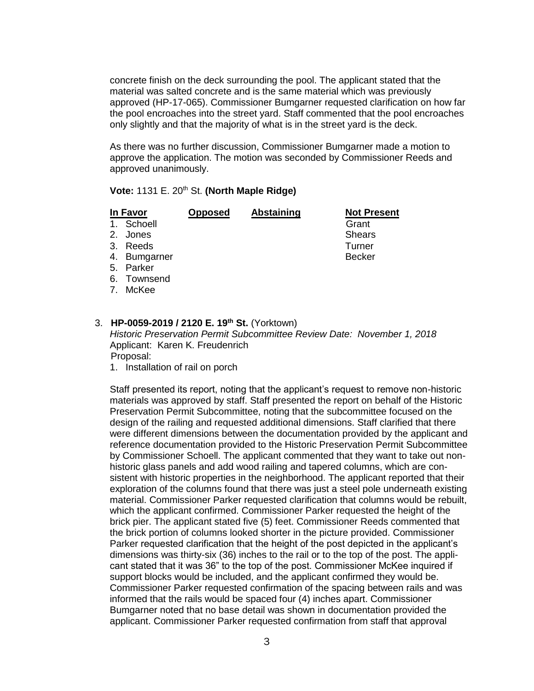concrete finish on the deck surrounding the pool. The applicant stated that the material was salted concrete and is the same material which was previously approved (HP-17-065). Commissioner Bumgarner requested clarification on how far the pool encroaches into the street yard. Staff commented that the pool encroaches only slightly and that the majority of what is in the street yard is the deck.

As there was no further discussion, Commissioner Bumgarner made a motion to approve the application. The motion was seconded by Commissioner Reeds and approved unanimously.

## **Vote: 1131 E. 20<sup>th</sup> St. (North Maple Ridge)**

| In Favor |              | Opposed | <b>Abstaining</b> | <b>Not Present</b> |
|----------|--------------|---------|-------------------|--------------------|
|          | 1. Schoell   |         |                   | Grant              |
|          | 2. Jones     |         |                   | <b>Shears</b>      |
|          | 3. Reeds     |         |                   | Turner             |
|          | 4. Bumgarner |         |                   | <b>Becker</b>      |
|          | 5. Parker    |         |                   |                    |
|          | 6. Townsend  |         |                   |                    |
|          | 7. McKee     |         |                   |                    |
|          |              |         |                   |                    |

## 3. **HP-0059-2019 / 2120 E. 19th St.** (Yorktown)

*Historic Preservation Permit Subcommittee Review Date: November 1, 2018* Applicant: Karen K. Freudenrich Proposal:

1. Installation of rail on porch

Staff presented its report, noting that the applicant's request to remove non-historic materials was approved by staff. Staff presented the report on behalf of the Historic Preservation Permit Subcommittee, noting that the subcommittee focused on the design of the railing and requested additional dimensions. Staff clarified that there were different dimensions between the documentation provided by the applicant and reference documentation provided to the Historic Preservation Permit Subcommittee by Commissioner Schoell. The applicant commented that they want to take out nonhistoric glass panels and add wood railing and tapered columns, which are consistent with historic properties in the neighborhood. The applicant reported that their exploration of the columns found that there was just a steel pole underneath existing material. Commissioner Parker requested clarification that columns would be rebuilt, which the applicant confirmed. Commissioner Parker requested the height of the brick pier. The applicant stated five (5) feet. Commissioner Reeds commented that the brick portion of columns looked shorter in the picture provided. Commissioner Parker requested clarification that the height of the post depicted in the applicant's dimensions was thirty-six (36) inches to the rail or to the top of the post. The applicant stated that it was 36" to the top of the post. Commissioner McKee inquired if support blocks would be included, and the applicant confirmed they would be. Commissioner Parker requested confirmation of the spacing between rails and was informed that the rails would be spaced four (4) inches apart. Commissioner Bumgarner noted that no base detail was shown in documentation provided the applicant. Commissioner Parker requested confirmation from staff that approval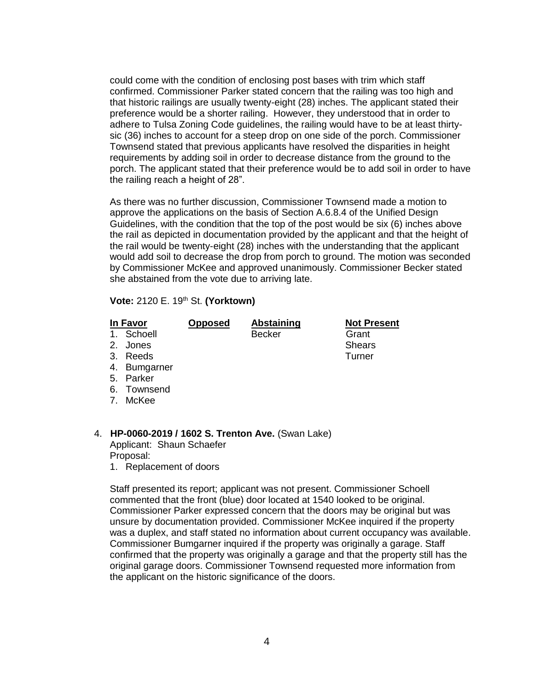could come with the condition of enclosing post bases with trim which staff confirmed. Commissioner Parker stated concern that the railing was too high and that historic railings are usually twenty-eight (28) inches. The applicant stated their preference would be a shorter railing. However, they understood that in order to adhere to Tulsa Zoning Code guidelines, the railing would have to be at least thirtysic (36) inches to account for a steep drop on one side of the porch. Commissioner Townsend stated that previous applicants have resolved the disparities in height requirements by adding soil in order to decrease distance from the ground to the porch. The applicant stated that their preference would be to add soil in order to have the railing reach a height of 28".

As there was no further discussion, Commissioner Townsend made a motion to approve the applications on the basis of Section A.6.8.4 of the Unified Design Guidelines, with the condition that the top of the post would be six (6) inches above the rail as depicted in documentation provided by the applicant and that the height of the rail would be twenty-eight (28) inches with the understanding that the applicant would add soil to decrease the drop from porch to ground. The motion was seconded by Commissioner McKee and approved unanimously. Commissioner Becker stated she abstained from the vote due to arriving late.

#### **Vote:** 2120 E. 19th St. **(Yorktown)**

1. Schoell Becker Grant

**In Favor Opposed Abstaining Not Present**

- 2. Jones Shears Shears Shears Shears Shears Shears Shears Shears Shears Shears Shears Shears Shears Shears Shears Shears Shears Shears Shears Shears Shears Shears Shears Shears Shears Shears Shears Shears Shears Shears She
- 3. Reeds Turner
- 4. Bumgarner
- 5. Parker
- 6. Townsend
- 7. McKee

## 4. **HP-0060-2019 / 1602 S. Trenton Ave.** (Swan Lake)

Applicant: Shaun Schaefer Proposal:

1. Replacement of doors

Staff presented its report; applicant was not present. Commissioner Schoell commented that the front (blue) door located at 1540 looked to be original. Commissioner Parker expressed concern that the doors may be original but was unsure by documentation provided. Commissioner McKee inquired if the property was a duplex, and staff stated no information about current occupancy was available. Commissioner Bumgarner inquired if the property was originally a garage. Staff confirmed that the property was originally a garage and that the property still has the original garage doors. Commissioner Townsend requested more information from the applicant on the historic significance of the doors.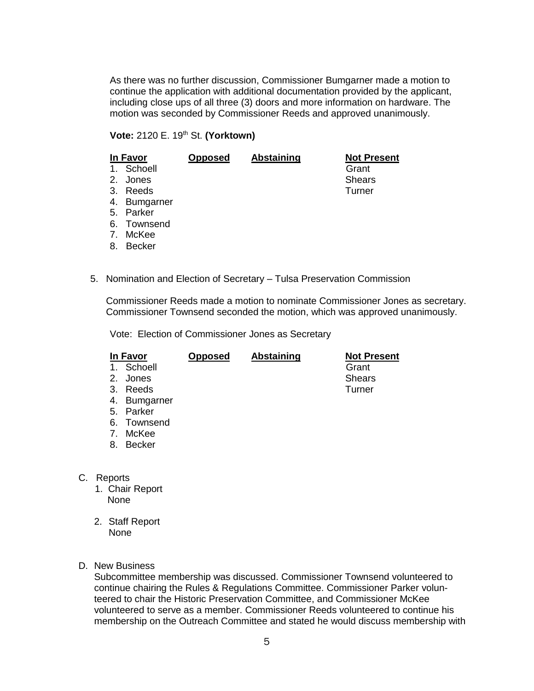As there was no further discussion, Commissioner Bumgarner made a motion to continue the application with additional documentation provided by the applicant, including close ups of all three (3) doors and more information on hardware. The motion was seconded by Commissioner Reeds and approved unanimously.

## **Vote:** 2120 E. 19th St. **(Yorktown)**

| In Favor |               | <b>Opposed</b> | Abstaining | <b>Not Present</b> |
|----------|---------------|----------------|------------|--------------------|
|          | 1. Schoell    |                |            | Grant              |
|          | 2. Jones      |                |            | <b>Shears</b>      |
|          | 3. Reeds      |                |            | Turner             |
|          | 4. Bumgarner  |                |            |                    |
|          | 5. Parker     |                |            |                    |
|          | 6. Townsend   |                |            |                    |
| 7.       | McKee         |                |            |                    |
| 8.       | <b>Becker</b> |                |            |                    |

5. Nomination and Election of Secretary – Tulsa Preservation Commission

Commissioner Reeds made a motion to nominate Commissioner Jones as secretary. Commissioner Townsend seconded the motion, which was approved unanimously.

Vote: Election of Commissioner Jones as Secretary

| In Favor       |               | Opposed | <b>Abstaining</b> | <b>Not Present</b> |
|----------------|---------------|---------|-------------------|--------------------|
| 1.             | Schoell       |         |                   | Grant              |
| 2.             | Jones         |         |                   | <b>Shears</b>      |
| 3.             | Reeds         |         |                   | Turner             |
| 4.             | Bumgarner     |         |                   |                    |
| 5.             | Parker        |         |                   |                    |
|                | 6. Townsend   |         |                   |                    |
| 7 <sub>1</sub> | McKee         |         |                   |                    |
| 8.             | <b>Becker</b> |         |                   |                    |
|                |               |         |                   |                    |

- C. Reports
	- 1. Chair Report None
	- 2. Staff Report None
- D. New Business

Subcommittee membership was discussed. Commissioner Townsend volunteered to continue chairing the Rules & Regulations Committee. Commissioner Parker volunteered to chair the Historic Preservation Committee, and Commissioner McKee volunteered to serve as a member. Commissioner Reeds volunteered to continue his membership on the Outreach Committee and stated he would discuss membership with